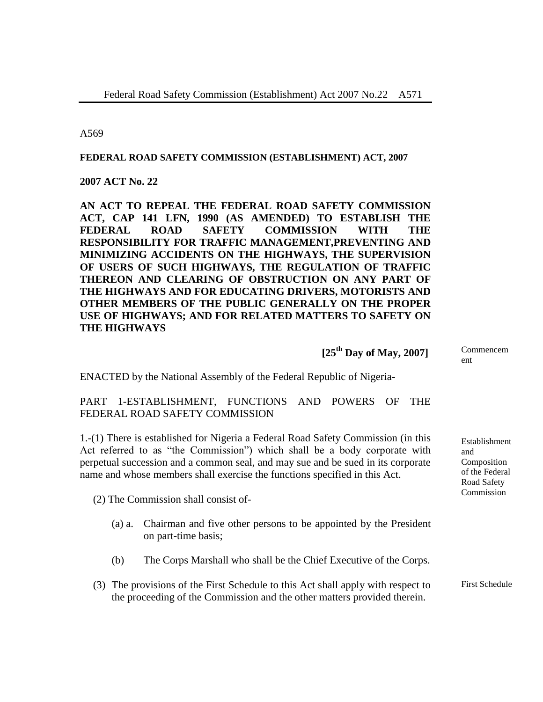A569

#### **FEDERAL ROAD SAFETY COMMISSION (ESTABLISHMENT) ACT, 2007**

**2007 ACT No. 22**

**AN ACT TO REPEAL THE FEDERAL ROAD SAFETY COMMISSION ACT, CAP 141 LFN, 1990 (AS AMENDED) TO ESTABLISH THE FEDERAL ROAD SAFETY COMMISSION WITH THE RESPONSIBILITY FOR TRAFFIC MANAGEMENT,PREVENTING AND MINIMIZING ACCIDENTS ON THE HIGHWAYS, THE SUPERVISION OF USERS OF SUCH HIGHWAYS, THE REGULATION OF TRAFFIC THEREON AND CLEARING OF OBSTRUCTION ON ANY PART OF THE HIGHWAYS AND FOR EDUCATING DRIVERS, MOTORISTS AND OTHER MEMBERS OF THE PUBLIC GENERALLY ON THE PROPER USE OF HIGHWAYS; AND FOR RELATED MATTERS TO SAFETY ON THE HIGHWAYS**

 **[25th Day of May, 2007]**

ENACTED by the National Assembly of the Federal Republic of Nigeria-

### PART 1-ESTABLISHMENT, FUNCTIONS AND POWERS OF THE FEDERAL ROAD SAFETY COMMISSION

1.-(1) There is established for Nigeria a Federal Road Safety Commission (in this Act referred to as "the Commission") which shall be a body corporate with perpetual succession and a common seal, and may sue and be sued in its corporate name and whose members shall exercise the functions specified in this Act.

(2) The Commission shall consist of-

- (a) a. Chairman and five other persons to be appointed by the President on part-time basis;
- (b) The Corps Marshall who shall be the Chief Executive of the Corps.
- (3) The provisions of the First Schedule to this Act shall apply with respect to the proceeding of the Commission and the other matters provided therein.

Commencem ent

Establishment and Composition of the Federal Road Safety Commission

First Schedule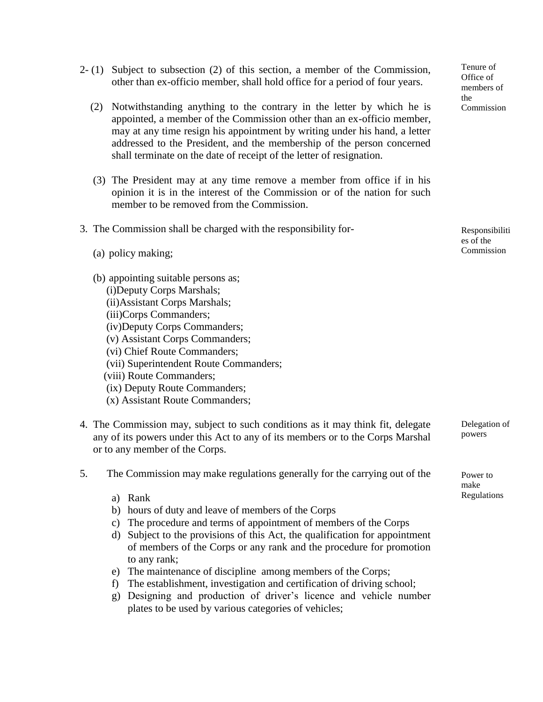- 2- (1) Subject to subsection (2) of this section, a member of the Commission, other than ex-officio member, shall hold office for a period of four years.
	- (2) Notwithstanding anything to the contrary in the letter by which he is appointed, a member of the Commission other than an ex-officio member, may at any time resign his appointment by writing under his hand, a letter addressed to the President, and the membership of the person concerned shall terminate on the date of receipt of the letter of resignation.
	- (3) The President may at any time remove a member from office if in his opinion it is in the interest of the Commission or of the nation for such member to be removed from the Commission.

|  |  |  |  | 3. The Commission shall be charged with the responsibility for- |  |
|--|--|--|--|-----------------------------------------------------------------|--|
|--|--|--|--|-----------------------------------------------------------------|--|

- (a) policy making;
- (b) appointing suitable persons as;
	- (i)Deputy Corps Marshals;
	- (ii)Assistant Corps Marshals;
	- (iii)Corps Commanders;
	- (iv)Deputy Corps Commanders;
	- (v) Assistant Corps Commanders;
	- (vi) Chief Route Commanders;
	- (vii) Superintendent Route Commanders;
	- (viii) Route Commanders;
	- (ix) Deputy Route Commanders;
	- (x) Assistant Route Commanders;
- 4. The Commission may, subject to such conditions as it may think fit, delegate any of its powers under this Act to any of its members or to the Corps Marshal or to any member of the Corps.
- 5. The Commission may make regulations generally for the carrying out of the
	- a) Rank
	- b) hours of duty and leave of members of the Corps
	- c) The procedure and terms of appointment of members of the Corps
	- d) Subject to the provisions of this Act, the qualification for appointment of members of the Corps or any rank and the procedure for promotion to any rank;
	- e) The maintenance of discipline among members of the Corps;
	- f) The establishment, investigation and certification of driving school;
	- g) Designing and production of driver's licence and vehicle number plates to be used by various categories of vehicles;

Tenure of Office of members of the Commission

Responsibiliti es of the Commission

Delegation of powers

Power to make Regulations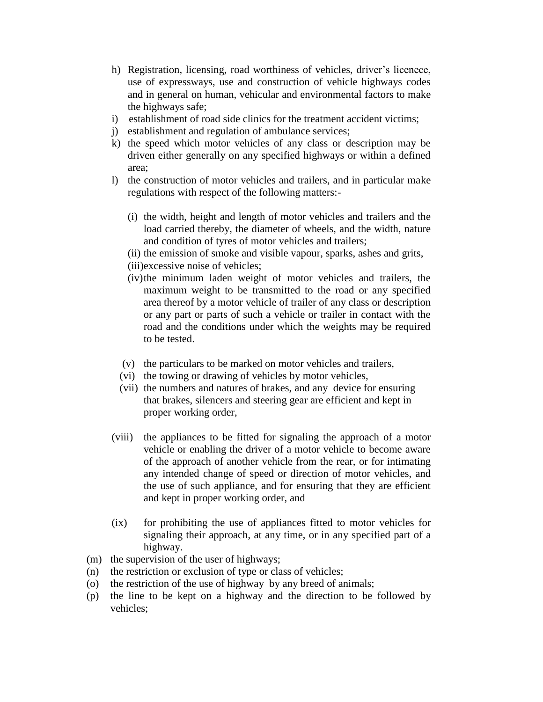- h) Registration, licensing, road worthiness of vehicles, driver's licenece, use of expressways, use and construction of vehicle highways codes and in general on human, vehicular and environmental factors to make the highways safe;
- i) establishment of road side clinics for the treatment accident victims;
- j) establishment and regulation of ambulance services;
- k) the speed which motor vehicles of any class or description may be driven either generally on any specified highways or within a defined area;
- l) the construction of motor vehicles and trailers, and in particular make regulations with respect of the following matters:-
	- (i) the width, height and length of motor vehicles and trailers and the load carried thereby, the diameter of wheels, and the width, nature and condition of tyres of motor vehicles and trailers;
	- (ii) the emission of smoke and visible vapour, sparks, ashes and grits,
	- (iii)excessive noise of vehicles;
	- (iv)the minimum laden weight of motor vehicles and trailers, the maximum weight to be transmitted to the road or any specified area thereof by a motor vehicle of trailer of any class or description or any part or parts of such a vehicle or trailer in contact with the road and the conditions under which the weights may be required to be tested.
	- (v) the particulars to be marked on motor vehicles and trailers,
	- (vi) the towing or drawing of vehicles by motor vehicles,
	- (vii) the numbers and natures of brakes, and any device for ensuring that brakes, silencers and steering gear are efficient and kept in proper working order,
- (viii) the appliances to be fitted for signaling the approach of a motor vehicle or enabling the driver of a motor vehicle to become aware of the approach of another vehicle from the rear, or for intimating any intended change of speed or direction of motor vehicles, and the use of such appliance, and for ensuring that they are efficient and kept in proper working order, and
- (ix) for prohibiting the use of appliances fitted to motor vehicles for signaling their approach, at any time, or in any specified part of a highway.
- (m) the supervision of the user of highways;
- (n) the restriction or exclusion of type or class of vehicles;
- (o) the restriction of the use of highway by any breed of animals;
- (p) the line to be kept on a highway and the direction to be followed by vehicles;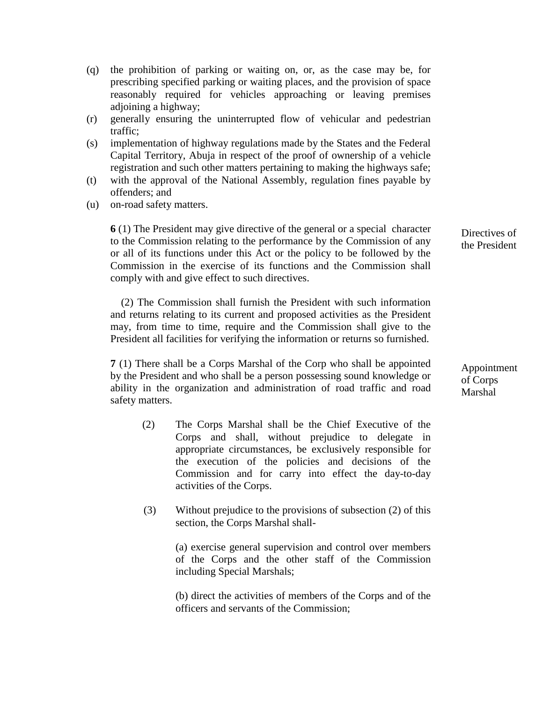- (q) the prohibition of parking or waiting on, or, as the case may be, for prescribing specified parking or waiting places, and the provision of space reasonably required for vehicles approaching or leaving premises adjoining a highway;
- (r) generally ensuring the uninterrupted flow of vehicular and pedestrian traffic;
- (s) implementation of highway regulations made by the States and the Federal Capital Territory, Abuja in respect of the proof of ownership of a vehicle registration and such other matters pertaining to making the highways safe;
- (t) with the approval of the National Assembly, regulation fines payable by offenders; and
- (u) on-road safety matters.

**6** (1) The President may give directive of the general or a special character to the Commission relating to the performance by the Commission of any or all of its functions under this Act or the policy to be followed by the Commission in the exercise of its functions and the Commission shall comply with and give effect to such directives.

 (2) The Commission shall furnish the President with such information and returns relating to its current and proposed activities as the President may, from time to time, require and the Commission shall give to the President all facilities for verifying the information or returns so furnished.

**7** (1) There shall be a Corps Marshal of the Corp who shall be appointed by the President and who shall be a person possessing sound knowledge or ability in the organization and administration of road traffic and road safety matters.

- (2) The Corps Marshal shall be the Chief Executive of the Corps and shall, without prejudice to delegate in appropriate circumstances, be exclusively responsible for the execution of the policies and decisions of the Commission and for carry into effect the day-to-day activities of the Corps.
- (3) Without prejudice to the provisions of subsection (2) of this section, the Corps Marshal shall-

(a) exercise general supervision and control over members of the Corps and the other staff of the Commission including Special Marshals;

(b) direct the activities of members of the Corps and of the officers and servants of the Commission;

Directives of the President

Appointment of Corps Marshal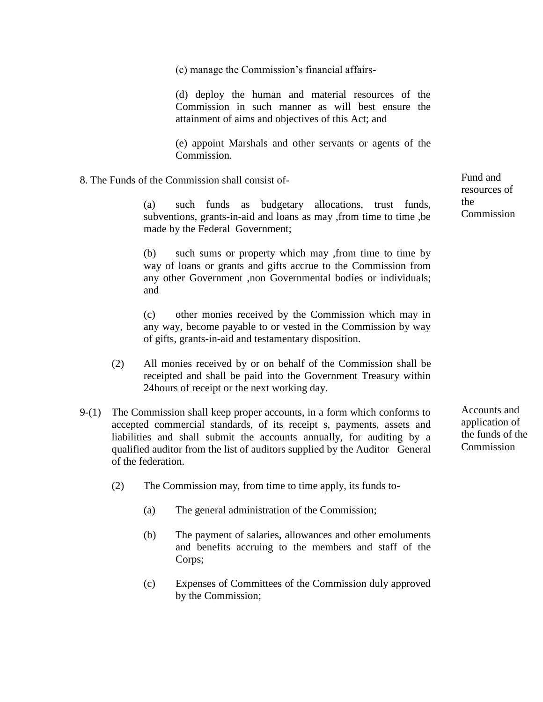(c) manage the Commission's financial affairs-

(d) deploy the human and material resources of the Commission in such manner as will best ensure the attainment of aims and objectives of this Act; and

(e) appoint Marshals and other servants or agents of the Commission.

8. The Funds of the Commission shall consist of-

(a) such funds as budgetary allocations, trust funds, subventions, grants-in-aid and loans as may ,from time to time ,be made by the Federal Government;

(b) such sums or property which may ,from time to time by way of loans or grants and gifts accrue to the Commission from any other Government ,non Governmental bodies or individuals; and

(c) other monies received by the Commission which may in any way, become payable to or vested in the Commission by way of gifts, grants-in-aid and testamentary disposition.

- (2) All monies received by or on behalf of the Commission shall be receipted and shall be paid into the Government Treasury within 24hours of receipt or the next working day.
- 9-(1) The Commission shall keep proper accounts, in a form which conforms to accepted commercial standards, of its receipt s, payments, assets and liabilities and shall submit the accounts annually, for auditing by a qualified auditor from the list of auditors supplied by the Auditor –General of the federation.
	- (2) The Commission may, from time to time apply, its funds to-
		- (a) The general administration of the Commission;
		- (b) The payment of salaries, allowances and other emoluments and benefits accruing to the members and staff of the Corps;
		- (c) Expenses of Committees of the Commission duly approved by the Commission;

Accounts and application of the funds of the **Commission** 

Fund and resources of the Commission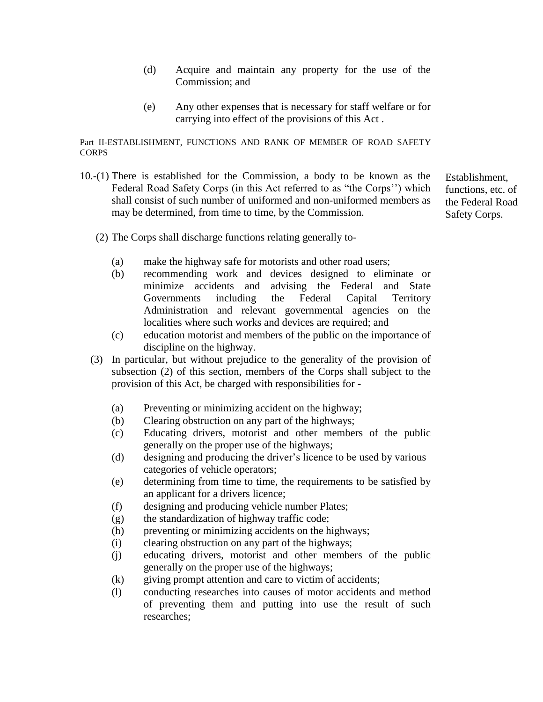- (d) Acquire and maintain any property for the use of the Commission; and
- (e) Any other expenses that is necessary for staff welfare or for carrying into effect of the provisions of this Act .

#### Part II-ESTABLISHMENT, FUNCTIONS AND RANK OF MEMBER OF ROAD SAFETY **CORPS**

10.-(1) There is established for the Commission, a body to be known as the Federal Road Safety Corps (in this Act referred to as "the Corps'') which shall consist of such number of uniformed and non-uniformed members as may be determined, from time to time, by the Commission.

(2) The Corps shall discharge functions relating generally to-

- (a) make the highway safe for motorists and other road users;
- (b) recommending work and devices designed to eliminate or minimize accidents and advising the Federal and State Governments including the Federal Capital Territory Administration and relevant governmental agencies on the localities where such works and devices are required; and
- (c) education motorist and members of the public on the importance of discipline on the highway.
- (3) In particular, but without prejudice to the generality of the provision of subsection (2) of this section, members of the Corps shall subject to the provision of this Act, be charged with responsibilities for -
	- (a) Preventing or minimizing accident on the highway;
	- (b) Clearing obstruction on any part of the highways;
	- (c) Educating drivers, motorist and other members of the public generally on the proper use of the highways;
	- (d) designing and producing the driver's licence to be used by various categories of vehicle operators;
	- (e) determining from time to time, the requirements to be satisfied by an applicant for a drivers licence;
	- (f) designing and producing vehicle number Plates;
	- (g) the standardization of highway traffic code;
	- (h) preventing or minimizing accidents on the highways;
	- (i) clearing obstruction on any part of the highways;
	- (j) educating drivers, motorist and other members of the public generally on the proper use of the highways;
	- (k) giving prompt attention and care to victim of accidents;
	- (l) conducting researches into causes of motor accidents and method of preventing them and putting into use the result of such researches;

Establishment, functions, etc. of the Federal Road Safety Corps.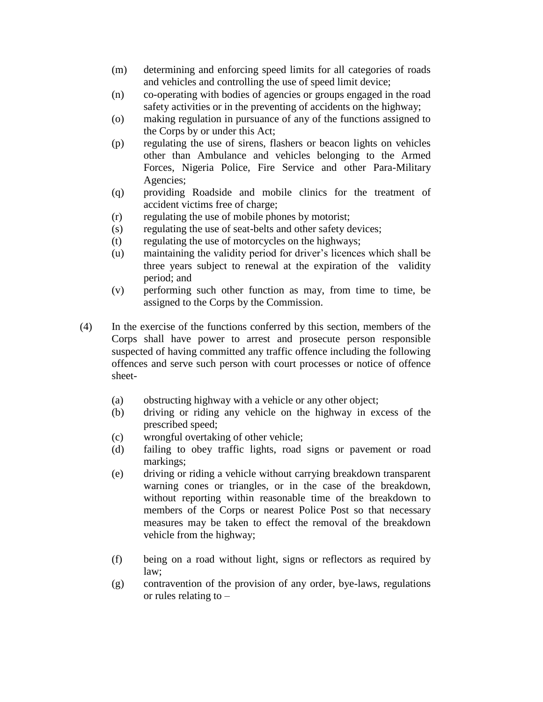- (m) determining and enforcing speed limits for all categories of roads and vehicles and controlling the use of speed limit device;
- (n) co-operating with bodies of agencies or groups engaged in the road safety activities or in the preventing of accidents on the highway;
- (o) making regulation in pursuance of any of the functions assigned to the Corps by or under this Act;
- (p) regulating the use of sirens, flashers or beacon lights on vehicles other than Ambulance and vehicles belonging to the Armed Forces, Nigeria Police, Fire Service and other Para-Military Agencies;
- (q) providing Roadside and mobile clinics for the treatment of accident victims free of charge;
- (r) regulating the use of mobile phones by motorist;
- (s) regulating the use of seat-belts and other safety devices;
- (t) regulating the use of motorcycles on the highways;
- (u) maintaining the validity period for driver's licences which shall be three years subject to renewal at the expiration of the validity period; and
- (v) performing such other function as may, from time to time, be assigned to the Corps by the Commission.
- (4) In the exercise of the functions conferred by this section, members of the Corps shall have power to arrest and prosecute person responsible suspected of having committed any traffic offence including the following offences and serve such person with court processes or notice of offence sheet-
	- (a) obstructing highway with a vehicle or any other object;
	- (b) driving or riding any vehicle on the highway in excess of the prescribed speed;
	- (c) wrongful overtaking of other vehicle;
	- (d) failing to obey traffic lights, road signs or pavement or road markings;
	- (e) driving or riding a vehicle without carrying breakdown transparent warning cones or triangles, or in the case of the breakdown, without reporting within reasonable time of the breakdown to members of the Corps or nearest Police Post so that necessary measures may be taken to effect the removal of the breakdown vehicle from the highway;
	- (f) being on a road without light, signs or reflectors as required by law;
	- (g) contravention of the provision of any order, bye-laws, regulations or rules relating to –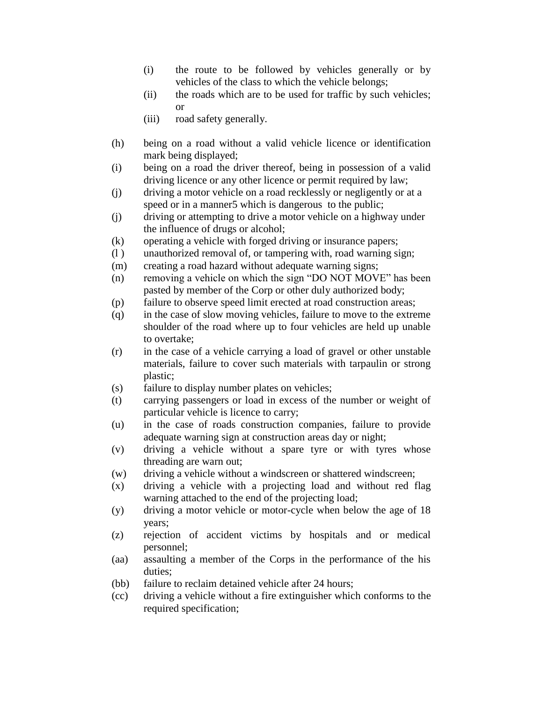- (i) the route to be followed by vehicles generally or by vehicles of the class to which the vehicle belongs;
- (ii) the roads which are to be used for traffic by such vehicles; or
- (iii) road safety generally.
- (h) being on a road without a valid vehicle licence or identification mark being displayed;
- (i) being on a road the driver thereof, being in possession of a valid driving licence or any other licence or permit required by law;
- (j) driving a motor vehicle on a road recklessly or negligently or at a speed or in a manner5 which is dangerous to the public;
- (j) driving or attempting to drive a motor vehicle on a highway under the influence of drugs or alcohol;
- (k) operating a vehicle with forged driving or insurance papers;
- (l ) unauthorized removal of, or tampering with, road warning sign;
- (m) creating a road hazard without adequate warning signs;
- (n) removing a vehicle on which the sign "DO NOT MOVE" has been pasted by member of the Corp or other duly authorized body;
- (p) failure to observe speed limit erected at road construction areas;
- (q) in the case of slow moving vehicles, failure to move to the extreme shoulder of the road where up to four vehicles are held up unable to overtake;
- (r) in the case of a vehicle carrying a load of gravel or other unstable materials, failure to cover such materials with tarpaulin or strong plastic;
- (s) failure to display number plates on vehicles;
- (t) carrying passengers or load in excess of the number or weight of particular vehicle is licence to carry;
- (u) in the case of roads construction companies, failure to provide adequate warning sign at construction areas day or night;
- (v) driving a vehicle without a spare tyre or with tyres whose threading are warn out;
- (w) driving a vehicle without a windscreen or shattered windscreen;
- (x) driving a vehicle with a projecting load and without red flag warning attached to the end of the projecting load;
- (y) driving a motor vehicle or motor-cycle when below the age of 18 years;
- (z) rejection of accident victims by hospitals and or medical personnel;
- (aa) assaulting a member of the Corps in the performance of the his duties;
- (bb) failure to reclaim detained vehicle after 24 hours;
- (cc) driving a vehicle without a fire extinguisher which conforms to the required specification;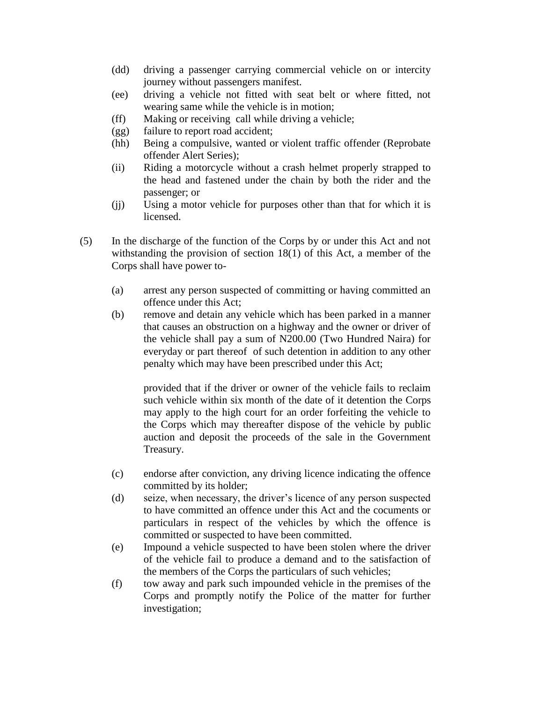- (dd) driving a passenger carrying commercial vehicle on or intercity journey without passengers manifest.
- (ee) driving a vehicle not fitted with seat belt or where fitted, not wearing same while the vehicle is in motion;
- (ff) Making or receiving call while driving a vehicle;
- (gg) failure to report road accident;
- (hh) Being a compulsive, wanted or violent traffic offender (Reprobate offender Alert Series);
- (ii) Riding a motorcycle without a crash helmet properly strapped to the head and fastened under the chain by both the rider and the passenger; or
- (jj) Using a motor vehicle for purposes other than that for which it is licensed.
- (5) In the discharge of the function of the Corps by or under this Act and not withstanding the provision of section 18(1) of this Act, a member of the Corps shall have power to-
	- (a) arrest any person suspected of committing or having committed an offence under this Act;
	- (b) remove and detain any vehicle which has been parked in a manner that causes an obstruction on a highway and the owner or driver of the vehicle shall pay a sum of N200.00 (Two Hundred Naira) for everyday or part thereof of such detention in addition to any other penalty which may have been prescribed under this Act;

provided that if the driver or owner of the vehicle fails to reclaim such vehicle within six month of the date of it detention the Corps may apply to the high court for an order forfeiting the vehicle to the Corps which may thereafter dispose of the vehicle by public auction and deposit the proceeds of the sale in the Government Treasury.

- (c) endorse after conviction, any driving licence indicating the offence committed by its holder;
- (d) seize, when necessary, the driver's licence of any person suspected to have committed an offence under this Act and the cocuments or particulars in respect of the vehicles by which the offence is committed or suspected to have been committed.
- (e) Impound a vehicle suspected to have been stolen where the driver of the vehicle fail to produce a demand and to the satisfaction of the members of the Corps the particulars of such vehicles;
- (f) tow away and park such impounded vehicle in the premises of the Corps and promptly notify the Police of the matter for further investigation;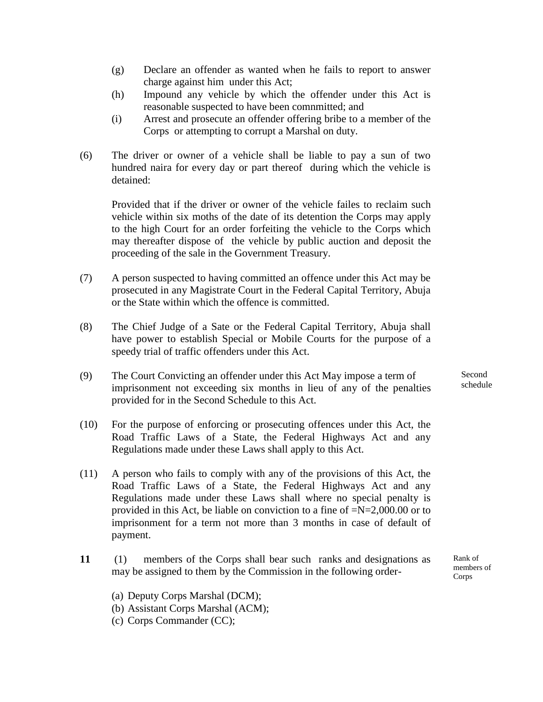- (g) Declare an offender as wanted when he fails to report to answer charge against him under this Act;
- (h) Impound any vehicle by which the offender under this Act is reasonable suspected to have been comnmitted; and
- (i) Arrest and prosecute an offender offering bribe to a member of the Corps or attempting to corrupt a Marshal on duty.
- (6) The driver or owner of a vehicle shall be liable to pay a sun of two hundred naira for every day or part thereof during which the vehicle is detained:

Provided that if the driver or owner of the vehicle failes to reclaim such vehicle within six moths of the date of its detention the Corps may apply to the high Court for an order forfeiting the vehicle to the Corps which may thereafter dispose of the vehicle by public auction and deposit the proceeding of the sale in the Government Treasury.

- (7) A person suspected to having committed an offence under this Act may be prosecuted in any Magistrate Court in the Federal Capital Territory, Abuja or the State within which the offence is committed.
- (8) The Chief Judge of a Sate or the Federal Capital Territory, Abuja shall have power to establish Special or Mobile Courts for the purpose of a speedy trial of traffic offenders under this Act.
- (9) The Court Convicting an offender under this Act May impose a term of imprisonment not exceeding six months in lieu of any of the penalties provided for in the Second Schedule to this Act.
- (10) For the purpose of enforcing or prosecuting offences under this Act, the Road Traffic Laws of a State, the Federal Highways Act and any Regulations made under these Laws shall apply to this Act.
- (11) A person who fails to comply with any of the provisions of this Act, the Road Traffic Laws of a State, the Federal Highways Act and any Regulations made under these Laws shall where no special penalty is provided in this Act, be liable on conviction to a fine of  $=N=2,000.00$  or to imprisonment for a term not more than 3 months in case of default of payment.
- **11** (1) members of the Corps shall bear such ranks and designations as may be assigned to them by the Commission in the following order-

Rank of members of Corps

- (a) Deputy Corps Marshal (DCM);
- (b) Assistant Corps Marshal (ACM);
- (c) Corps Commander (CC);

Second schedule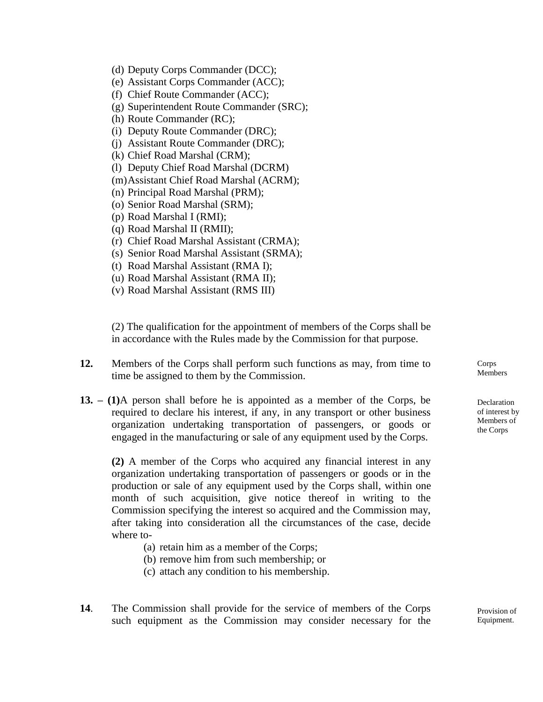- (d) Deputy Corps Commander (DCC);
- (e) Assistant Corps Commander (ACC);
- (f) Chief Route Commander (ACC);
- (g) Superintendent Route Commander (SRC);
- (h) Route Commander (RC);
- (i) Deputy Route Commander (DRC);
- (j) Assistant Route Commander (DRC);
- (k) Chief Road Marshal (CRM);
- (l) Deputy Chief Road Marshal (DCRM)
- (m)Assistant Chief Road Marshal (ACRM);
- (n) Principal Road Marshal (PRM);
- (o) Senior Road Marshal (SRM);
- (p) Road Marshal I (RMI);
- (q) Road Marshal II (RMII);
- (r) Chief Road Marshal Assistant (CRMA);
- (s) Senior Road Marshal Assistant (SRMA);
- (t) Road Marshal Assistant (RMA I);
- (u) Road Marshal Assistant (RMA II);
- (v) Road Marshal Assistant (RMS III)

(2) The qualification for the appointment of members of the Corps shall be in accordance with the Rules made by the Commission for that purpose.

- **12.** Members of the Corps shall perform such functions as may, from time to time be assigned to them by the Commission.
- **13. – (1)**A person shall before he is appointed as a member of the Corps, be required to declare his interest, if any, in any transport or other business organization undertaking transportation of passengers, or goods or engaged in the manufacturing or sale of any equipment used by the Corps.

**(2)** A member of the Corps who acquired any financial interest in any organization undertaking transportation of passengers or goods or in the production or sale of any equipment used by the Corps shall, within one month of such acquisition, give notice thereof in writing to the Commission specifying the interest so acquired and the Commission may, after taking into consideration all the circumstances of the case, decide where to-

- (a) retain him as a member of the Corps;
- (b) remove him from such membership; or
- (c) attach any condition to his membership.
- **14**. The Commission shall provide for the service of members of the Corps such equipment as the Commission may consider necessary for the

Corps **Members** 

Declaration of interest by Members of the Corps

Provision of Equipment.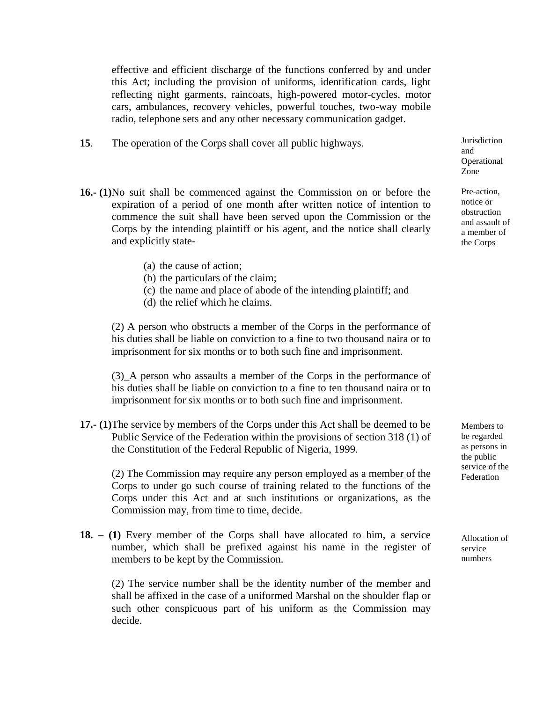effective and efficient discharge of the functions conferred by and under this Act; including the provision of uniforms, identification cards, light reflecting night garments, raincoats, high-powered motor-cycles, motor cars, ambulances, recovery vehicles, powerful touches, two-way mobile radio, telephone sets and any other necessary communication gadget.

- **15**. The operation of the Corps shall cover all public highways.
- **16.- (1)**No suit shall be commenced against the Commission on or before the expiration of a period of one month after written notice of intention to commence the suit shall have been served upon the Commission or the Corps by the intending plaintiff or his agent, and the notice shall clearly and explicitly state-
	- (a) the cause of action;
	- (b) the particulars of the claim;
	- (c) the name and place of abode of the intending plaintiff; and
	- (d) the relief which he claims.

(2) A person who obstructs a member of the Corps in the performance of his duties shall be liable on conviction to a fine to two thousand naira or to imprisonment for six months or to both such fine and imprisonment.

(3)\_A person who assaults a member of the Corps in the performance of his duties shall be liable on conviction to a fine to ten thousand naira or to imprisonment for six months or to both such fine and imprisonment.

**17.- (1)**The service by members of the Corps under this Act shall be deemed to be Public Service of the Federation within the provisions of section 318 (1) of the Constitution of the Federal Republic of Nigeria, 1999.

(2) The Commission may require any person employed as a member of the Corps to under go such course of training related to the functions of the Corps under this Act and at such institutions or organizations, as the Commission may, from time to time, decide.

**18. – (1)** Every member of the Corps shall have allocated to him, a service number, which shall be prefixed against his name in the register of members to be kept by the Commission.

(2) The service number shall be the identity number of the member and shall be affixed in the case of a uniformed Marshal on the shoulder flap or such other conspicuous part of his uniform as the Commission may decide.

Jurisdiction and Operational Zone

Pre-action, notice or obstruction and assault of a member of the Corps

Members to be regarded as persons in the public service of the Federation

Allocation of service numbers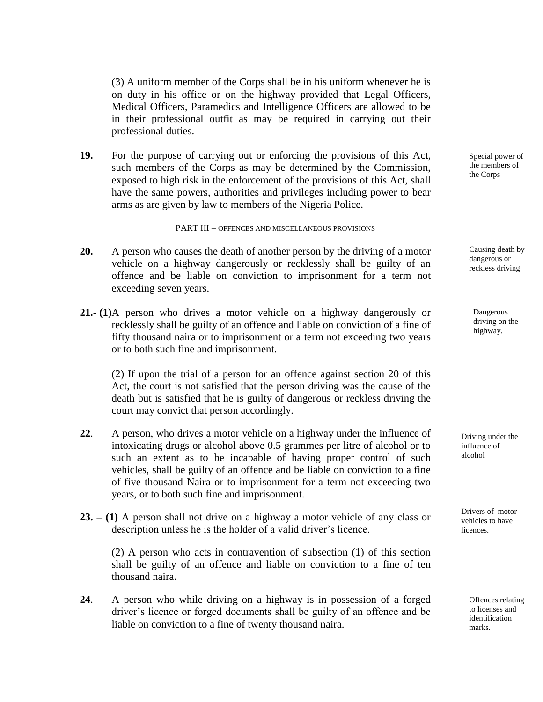(3) A uniform member of the Corps shall be in his uniform whenever he is on duty in his office or on the highway provided that Legal Officers, Medical Officers, Paramedics and Intelligence Officers are allowed to be in their professional outfit as may be required in carrying out their professional duties.

**19.** – For the purpose of carrying out or enforcing the provisions of this Act, such members of the Corps as may be determined by the Commission, exposed to high risk in the enforcement of the provisions of this Act, shall have the same powers, authorities and privileges including power to bear arms as are given by law to members of the Nigeria Police.

#### PART III – OFFENCES AND MISCELLANEOUS PROVISIONS

- **20.** A person who causes the death of another person by the driving of a motor vehicle on a highway dangerously or recklessly shall be guilty of an offence and be liable on conviction to imprisonment for a term not exceeding seven years.
- **21.- (1)**A person who drives a motor vehicle on a highway dangerously or recklessly shall be guilty of an offence and liable on conviction of a fine of fifty thousand naira or to imprisonment or a term not exceeding two years or to both such fine and imprisonment.

(2) If upon the trial of a person for an offence against section 20 of this Act, the court is not satisfied that the person driving was the cause of the death but is satisfied that he is guilty of dangerous or reckless driving the court may convict that person accordingly.

- **22**. A person, who drives a motor vehicle on a highway under the influence of intoxicating drugs or alcohol above 0.5 grammes per litre of alcohol or to such an extent as to be incapable of having proper control of such vehicles, shall be guilty of an offence and be liable on conviction to a fine of five thousand Naira or to imprisonment for a term not exceeding two years, or to both such fine and imprisonment.
- **23. – (1)** A person shall not drive on a highway a motor vehicle of any class or description unless he is the holder of a valid driver's licence.

(2) A person who acts in contravention of subsection (1) of this section shall be guilty of an offence and liable on conviction to a fine of ten thousand naira.

**24**. A person who while driving on a highway is in possession of a forged driver's licence or forged documents shall be guilty of an offence and be liable on conviction to a fine of twenty thousand naira.

Special power of the members of the Corps

Causing death by dangerous or reckless driving

Dangerous driving on the highway.

Driving under the influence of alcohol

Drivers of motor vehicles to have **licences** 

> Offences relating to licenses and identification marks.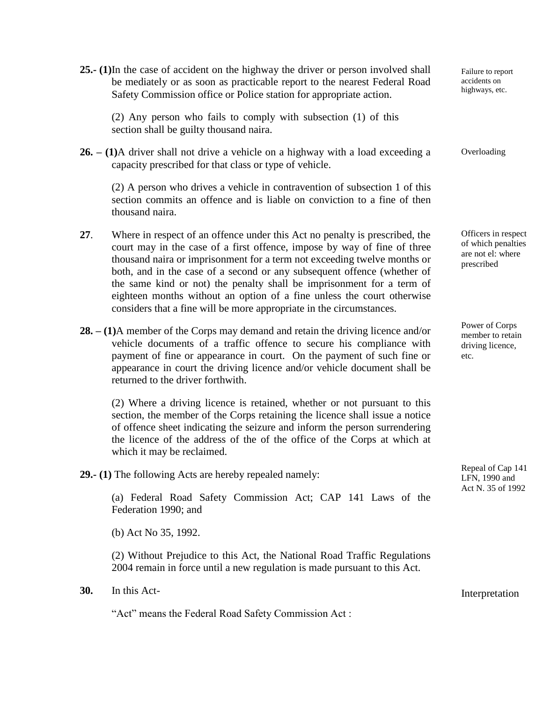**25.- (1)**In the case of accident on the highway the driver or person involved shall be mediately or as soon as practicable report to the nearest Federal Road Safety Commission office or Police station for appropriate action.

(2) Any person who fails to comply with subsection (1) of this section shall be guilty thousand naira.

**26. – (1)**A driver shall not drive a vehicle on a highway with a load exceeding a capacity prescribed for that class or type of vehicle.

(2) A person who drives a vehicle in contravention of subsection 1 of this section commits an offence and is liable on conviction to a fine of then thousand naira.

- **27**. Where in respect of an offence under this Act no penalty is prescribed, the court may in the case of a first offence, impose by way of fine of three thousand naira or imprisonment for a term not exceeding twelve months or both, and in the case of a second or any subsequent offence (whether of the same kind or not) the penalty shall be imprisonment for a term of eighteen months without an option of a fine unless the court otherwise considers that a fine will be more appropriate in the circumstances.
- **28. – (1)**A member of the Corps may demand and retain the driving licence and/or vehicle documents of a traffic offence to secure his compliance with payment of fine or appearance in court. On the payment of such fine or appearance in court the driving licence and/or vehicle document shall be returned to the driver forthwith.

(2) Where a driving licence is retained, whether or not pursuant to this section, the member of the Corps retaining the licence shall issue a notice of offence sheet indicating the seizure and inform the person surrendering the licence of the address of the of the office of the Corps at which at which it may be reclaimed.

**29.- (1)** The following Acts are hereby repealed namely:

(a) Federal Road Safety Commission Act; CAP 141 Laws of the Federation 1990; and

(b) Act No 35, 1992.

(2) Without Prejudice to this Act, the National Road Traffic Regulations 2004 remain in force until a new regulation is made pursuant to this Act.

**30.** In this Act-

"Act" means the Federal Road Safety Commission Act :

Failure to report accidents on highways, etc.

Overloading

Officers in respect of which penalties are not el: where prescribed

Power of Corps member to retain driving licence, etc.

Repeal of Cap 141 LFN, 1990 and Act N. 35 of 1992

Interpretation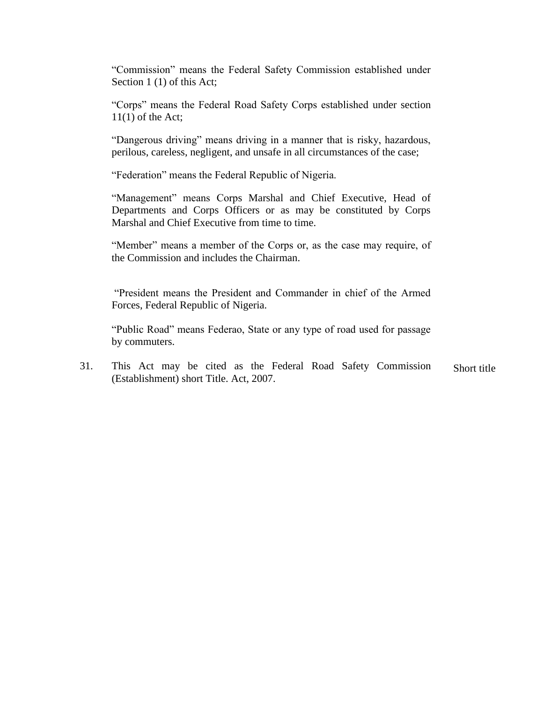"Commission" means the Federal Safety Commission established under Section 1 (1) of this Act;

"Corps" means the Federal Road Safety Corps established under section  $11(1)$  of the Act;

"Dangerous driving" means driving in a manner that is risky, hazardous, perilous, careless, negligent, and unsafe in all circumstances of the case;

"Federation" means the Federal Republic of Nigeria.

"Management" means Corps Marshal and Chief Executive, Head of Departments and Corps Officers or as may be constituted by Corps Marshal and Chief Executive from time to time.

"Member" means a member of the Corps or, as the case may require, of the Commission and includes the Chairman.

"President means the President and Commander in chief of the Armed Forces, Federal Republic of Nigeria.

"Public Road" means Federao, State or any type of road used for passage by commuters.

31. This Act may be cited as the Federal Road Safety Commission (Establishment) short Title. Act, 2007. Short title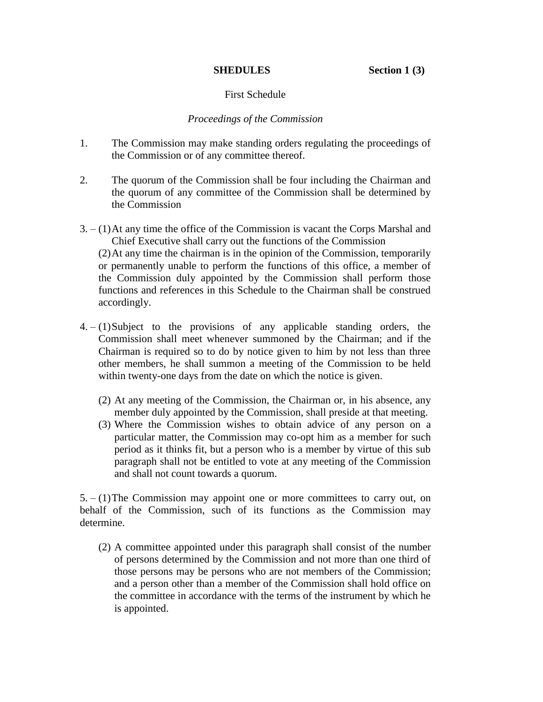### First Schedule

#### *Proceedings of the Commission*

- 1. The Commission may make standing orders regulating the proceedings of the Commission or of any committee thereof.
- 2. The quorum of the Commission shall be four including the Chairman and the quorum of any committee of the Commission shall be determined by the Commission
- 3. (1)At any time the office of the Commission is vacant the Corps Marshal and Chief Executive shall carry out the functions of the Commission (2)At any time the chairman is in the opinion of the Commission, temporarily or permanently unable to perform the functions of this office, a member of the Commission duly appointed by the Commission shall perform those functions and references in this Schedule to the Chairman shall be construed accordingly.
- $4. (1)$ Subject to the provisions of any applicable standing orders, the Commission shall meet whenever summoned by the Chairman; and if the Chairman is required so to do by notice given to him by not less than three other members, he shall summon a meeting of the Commission to be held within twenty-one days from the date on which the notice is given.
	- (2) At any meeting of the Commission, the Chairman or, in his absence, any member duly appointed by the Commission, shall preside at that meeting.
	- (3) Where the Commission wishes to obtain advice of any person on a particular matter, the Commission may co-opt him as a member for such period as it thinks fit, but a person who is a member by virtue of this sub paragraph shall not be entitled to vote at any meeting of the Commission and shall not count towards a quorum.

5. – (1)The Commission may appoint one or more committees to carry out, on behalf of the Commission, such of its functions as the Commission may determine.

(2) A committee appointed under this paragraph shall consist of the number of persons determined by the Commission and not more than one third of those persons may be persons who are not members of the Commission; and a person other than a member of the Commission shall hold office on the committee in accordance with the terms of the instrument by which he is appointed.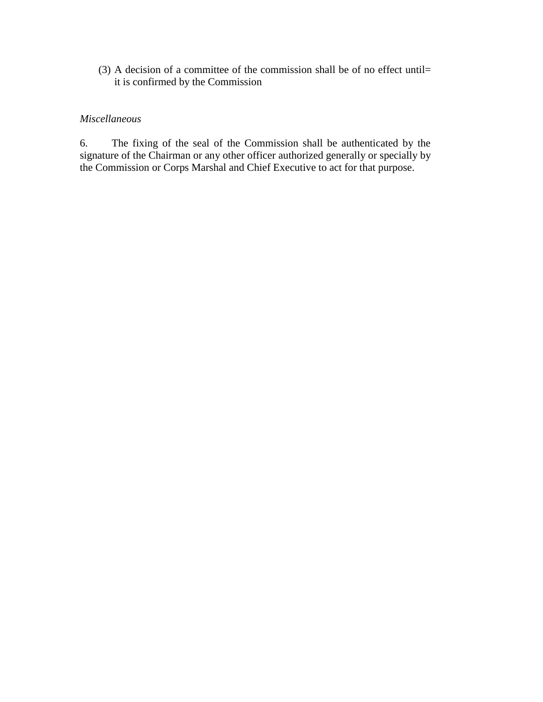(3) A decision of a committee of the commission shall be of no effect until= it is confirmed by the Commission

## *Miscellaneous*

6. The fixing of the seal of the Commission shall be authenticated by the signature of the Chairman or any other officer authorized generally or specially by the Commission or Corps Marshal and Chief Executive to act for that purpose.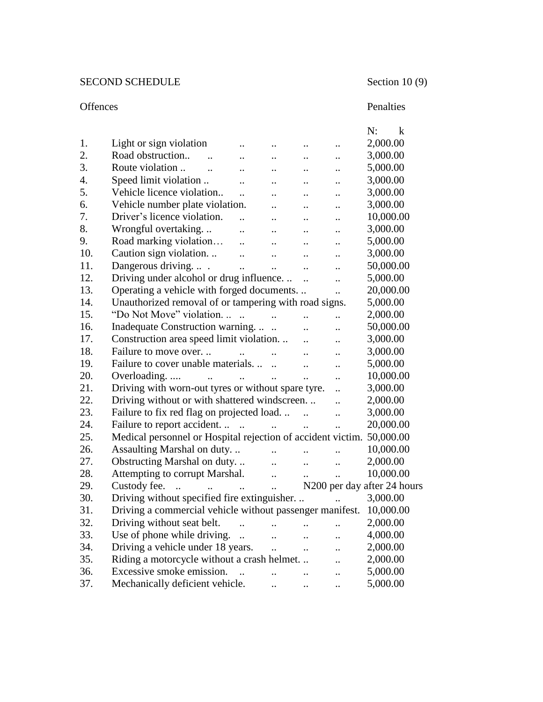# SECOND SCHEDULE Section 10 (9)

## Offences Penalties

|     |                                                                       |                              |                          |                             |                      | N:<br>$\mathbf{k}$                      |
|-----|-----------------------------------------------------------------------|------------------------------|--------------------------|-----------------------------|----------------------|-----------------------------------------|
| 1.  | Light or sign violation                                               | $\ddot{\phantom{0}}$         |                          |                             |                      | 2,000.00                                |
| 2.  | Road obstruction<br>$\overline{\phantom{a}}$                          | $\ddot{\phantom{a}}$         | <br>$\ddot{\phantom{a}}$ | <br>$\ddot{\phantom{a}}$    |                      | 3,000.00                                |
| 3.  | Route violation                                                       | $\ddot{\phantom{a}}$         | $\cdot$ .                | $\ddot{\phantom{0}}$        | $\ddot{\phantom{a}}$ | 5,000.00                                |
| 4.  | Speed limit violation                                                 | $\ddotsc$                    | $\ddot{\phantom{a}}$     | $\ddot{\phantom{a}}$        |                      | 3,000.00                                |
| 5.  | Vehicle licence violation                                             | $\ddot{\phantom{a}}$         | $\ddot{\phantom{a}}$     | $\ddot{\phantom{a}}$        |                      | 3,000.00                                |
| 6.  | Vehicle number plate violation.                                       |                              | $\ddot{\phantom{a}}$     | $\ddot{\phantom{a}}$        | $\ddot{\phantom{0}}$ | 3,000.00                                |
| 7.  | Driver's licence violation.                                           | $\ddot{\phantom{a}}$         | $\ddot{\phantom{a}}$     | $\ddot{\phantom{a}}$        | $\ddot{\phantom{0}}$ | 10,000.00                               |
| 8.  | Wrongful overtaking                                                   | $\ddot{\phantom{a}}$         | $\ddot{\phantom{a}}$     | $\ddot{\phantom{a}}$        |                      | 3,000.00                                |
| 9.  | Road marking violation                                                | $\dddot{\phantom{0}}$        | $\ddot{\phantom{a}}$     | $\ddot{\phantom{a}}$        | $\ddot{\phantom{a}}$ | 5,000.00                                |
| 10. | Caution sign violation                                                | $\dddot{\phantom{0}}$        | $\ddot{\phantom{a}}$     | $\ddot{\phantom{a}}$        |                      | 3,000.00                                |
| 11. | Dangerous driving.  .                                                 | $\ddotsc$                    | $\ddotsc$                | $\ldots$                    | $\ddot{\phantom{0}}$ | 50,000.00                               |
| 12. | Driving under alcohol or drug influence                               |                              |                          | $\ddotsc$                   | $\ddotsc$            | 5,000.00                                |
| 13. | Operating a vehicle with forged documents                             |                              |                          |                             | $\ddotsc$            | 20,000.00                               |
| 14. | Unauthorized removal of or tampering with road signs.                 |                              |                          |                             |                      | 5,000.00                                |
| 15. | "Do Not Move" violation                                               | $\sim$ $\sim$                |                          | $\dddot{\phantom{0}}$       | $\ddot{\phantom{a}}$ | 2,000.00                                |
| 16. | Inadequate Construction warning                                       |                              |                          | $\ddot{\phantom{a}}$        | $\ddot{\phantom{a}}$ | 50,000.00                               |
| 17. | Construction area speed limit violation                               |                              |                          | $\ddot{\phantom{a}}$        | $\ddot{\phantom{a}}$ | 3,000.00                                |
| 18. | Failure to move over.                                                 | <b>Contract Contract</b>     | $\ddotsc$                | $\ddot{\phantom{a}}$        | $\ddot{\phantom{a}}$ | 3,000.00                                |
| 19. | Failure to cover unable materials.                                    |                              |                          | $\dddot{\phantom{0}}$       | $\ddot{\phantom{a}}$ | 5,000.00                                |
| 20. | Overloading<br>$\ddot{\phantom{a}}$                                   | and the contract of the con- |                          | $\ddot{\phantom{a}}$        | $\ddot{\phantom{a}}$ | 10,000.00                               |
| 21. | Driving with worn-out tyres or without spare tyre.                    |                              |                          |                             | $\ddot{\phantom{a}}$ | 3,000.00                                |
| 22. | Driving without or with shattered windscreen                          |                              |                          |                             | $\ddot{\phantom{a}}$ | 2,000.00                                |
| 23. | Failure to fix red flag on projected load                             |                              |                          |                             | $\ddot{\phantom{a}}$ | 3,000.00                                |
| 24. |                                                                       |                              |                          |                             | $\ddot{\phantom{a}}$ | 20,000.00                               |
| 25. | Medical personnel or Hospital rejection of accident victim. 50,000.00 |                              |                          |                             |                      |                                         |
| 26. | Assaulting Marshal on duty                                            |                              | $\ddotsc$                | $\ddotsc$                   | $\ddot{\phantom{a}}$ | 10,000.00                               |
| 27. | Obstructing Marshal on duty                                           |                              | $\ddotsc$                | $\mathbf{1}$ , $\mathbf{1}$ | $\ddotsc$            | 2,000.00                                |
| 28. | Attempting to corrupt Marshal.                                        |                              | $\ddotsc$                | $\mathbf{r}$ , $\mathbf{r}$ | $\ddotsc$            | 10,000.00                               |
| 29. | Custody fee.<br>المنافذ المستنب المستنب المساوي                       |                              |                          |                             |                      | N <sub>200</sub> per day after 24 hours |
| 30. | Driving without specified fire extinguisher                           |                              |                          |                             |                      | 3,000.00                                |
| 31. | Driving a commercial vehicle without passenger manifest. 10,000.00    |                              |                          |                             |                      |                                         |
| 32. | Driving without seat belt.                                            |                              |                          |                             |                      | 2,000.00                                |
| 33. | Use of phone while driving.                                           | $\ddot{\phantom{a}}$         |                          | $\ddot{\phantom{a}}$        |                      | 4,000.00                                |
| 34. | Driving a vehicle under 18 years.                                     |                              |                          | $\ddot{\phantom{a}}$        |                      | 2,000.00                                |
| 35. | Riding a motorcycle without a crash helmet.                           |                              |                          |                             |                      | 2,000.00                                |
| 36. | Excessive smoke emission.                                             | $\ddot{\phantom{a}}$         | $\ddot{\phantom{a}}$     |                             |                      | 5,000.00                                |
| 37. | Mechanically deficient vehicle.                                       |                              |                          |                             | $\ddot{\phantom{0}}$ | 5,000.00                                |
|     |                                                                       |                              |                          |                             |                      |                                         |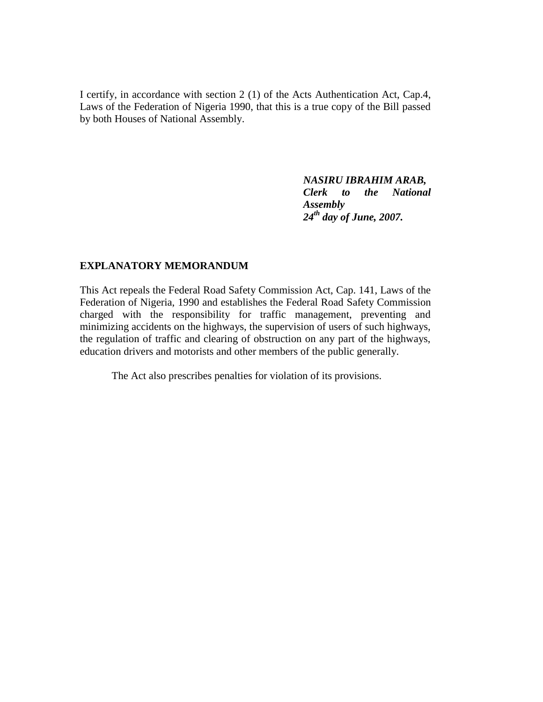I certify, in accordance with section 2 (1) of the Acts Authentication Act, Cap.4, Laws of the Federation of Nigeria 1990, that this is a true copy of the Bill passed by both Houses of National Assembly.

> *NASIRU IBRAHIM ARAB, Clerk to the National Assembly 24th day of June, 2007.*

### **EXPLANATORY MEMORANDUM**

This Act repeals the Federal Road Safety Commission Act, Cap. 141, Laws of the Federation of Nigeria, 1990 and establishes the Federal Road Safety Commission charged with the responsibility for traffic management, preventing and minimizing accidents on the highways, the supervision of users of such highways, the regulation of traffic and clearing of obstruction on any part of the highways, education drivers and motorists and other members of the public generally.

The Act also prescribes penalties for violation of its provisions.